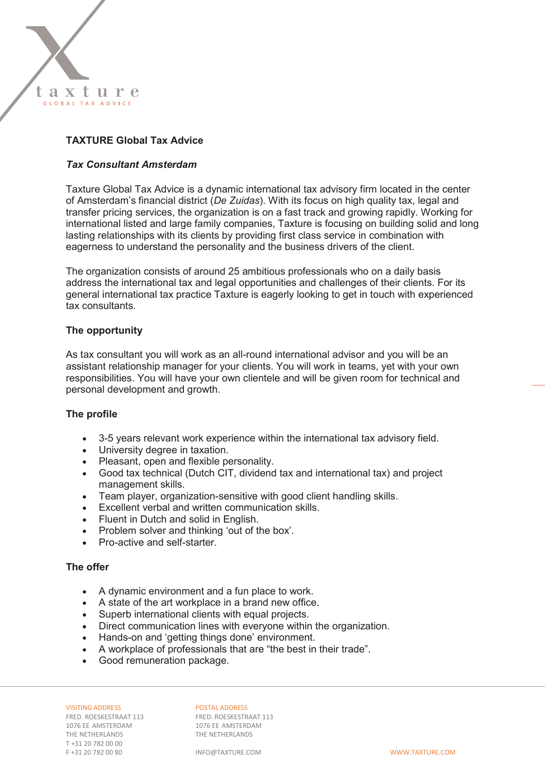

## **TAXTURE Global Tax Advice**

#### *Tax Consultant Amsterdam*

Taxture Global Tax Advice is a dynamic international tax advisory firm located in the center of Amsterdam's financial district (*De Zuidas*). With its focus on high quality tax, legal and transfer pricing services, the organization is on a fast track and growing rapidly. Working for international listed and large family companies, Taxture is focusing on building solid and long lasting relationships with its clients by providing first class service in combination with eagerness to understand the personality and the business drivers of the client.

The organization consists of around 25 ambitious professionals who on a daily basis address the international tax and legal opportunities and challenges of their clients. For its general international tax practice Taxture is eagerly looking to get in touch with experienced tax consultants.

### **The opportunity**

As tax consultant you will work as an all-round international advisor and you will be an assistant relationship manager for your clients. You will work in teams, yet with your own responsibilities. You will have your own clientele and will be given room for technical and personal development and growth.

#### **The profile**

- 3-5 years relevant work experience within the international tax advisory field.
- University degree in taxation.
- Pleasant, open and flexible personality.
- Good tax technical (Dutch CIT, dividend tax and international tax) and project management skills.
- Team player, organization-sensitive with good client handling skills.
- Excellent verbal and written communication skills.
- Fluent in Dutch and solid in English.
- Problem solver and thinking 'out of the box'.
- Pro-active and self-starter

### **The offer**

- A dynamic environment and a fun place to work.
- A state of the art workplace in a brand new office.
- Superb international clients with equal projects.
- Direct communication lines with everyone within the organization.
- Hands-on and 'getting things done' environment.
- A workplace of professionals that are "the best in their trade".
- Good remuneration package.

1076 EE AMSTERDAM 1076 EE AMSTERDAM<br>THE NETHERLANDS THE NETHERLANDS THE NETHERLANDS T +31 20 782 00 00 F +31 20 782 00 80 INFO@TAXTURE.COM WWW.TAXTURE.COM

VISITING ADDRESS<br>
FRED. ROESKESTRAAT 113<br>
FRED. ROESKESTRAAT 113 FRED. ROESKESTRAAT 113